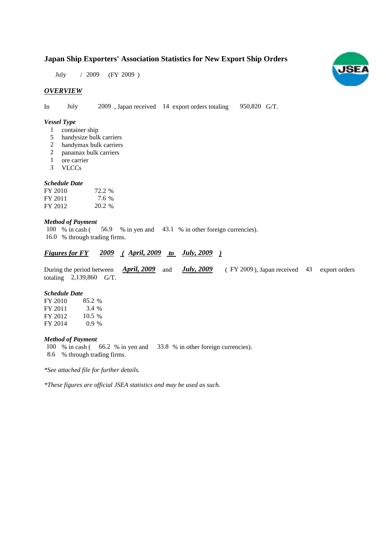# **Japan Ship Exporters' Association Statistics for New Export Ship Orders**

July / 2009 (FY 2009)

### *OVERVIEW*

In July  $2009$ , Japan received 14 export orders totaling  $950,820$  G/T.

#### *Vessel Type*

- container ship 1
- handysize bulk carriers 5
- handymax bulk carriers 2
- panamax bulk carriers 2
- ore carrier 1
- VLCCs 3

# *Schedule Date*

| FY 2010 | 72.2 % |
|---------|--------|
| FY 2011 | 7.6 %  |
| FY 2012 | 20.2 % |

#### *Method of Payment*

% in cash (56.9 % in yen and 43.1 % in other foreign currencies). 16.0 % through trading firms. 100 % in cash  $($ 

## *<u>Figures for FY* 2009 (April, 2009 to July, 2009)</u>

During the period between *April, 2009* and *July, 2009* (FY 2009), Japan received 43 export orders totaling  $2,139,860$  G/T. *April, 2009* and *July, 2009* 

#### *Schedule Date*

| FY 2010 | 85.2 %   |
|---------|----------|
| FY 2011 | 3.4 %    |
| FY 2012 | $10.5\%$ |
| FY 2014 | $0.9\%$  |

#### *Method of Payment*

100 % in cash (66.2 % in yen and 33.8 % in other foreign currencies). % through trading firms. 8.6

*\*See attached file for further details.*

*\*These figures are official JSEA statistics and may be used as such.*

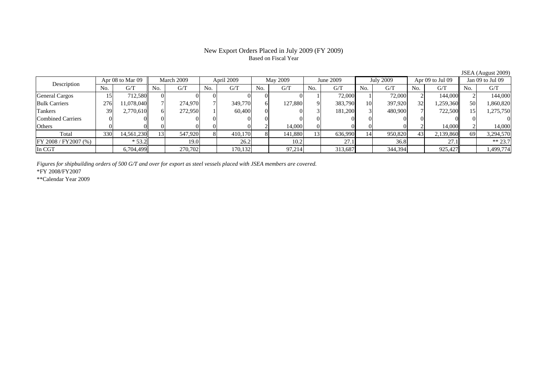# Based on Fiscal Year

No. G/T No. G/T No. G/T No. G/T No. G/T No. G/T No. G/T No. G/TGeneral Cargos | 15| 712,580|| 0| 0| 0| 0| 0| 0| 1| 72,000| 1| 72,000| 2| 144,000|| 2| 144,000 Bulk Carriers | 276| 11,078,040|| 7| 274,970| 7| 349,770| 6| 127,880| 9| 383,790| 10| 397,920| 32| 1,259,360|| 50| 1,860,820 Tankers | 39| 2,770,610|| 6| 272,950| 1| 60,400| 0| 0| 3| 181,200| 3| 480,900| 7| 722,500|| 15| 1,275,750 Combined Carriers 0 0 0 0 0 0 0 0 0 0 0 0 0 0 0 0Others 0 0 0 0 0 0 2 14,000 0 0 0 0 2 14,000 2 14,000 Total | 330| 14,561,230|| 13| 547,920| 8| 410,170| 8| 141,880| 13| 636,990| 14| 950,820| 43| 2,139,860|| 69| 3,294,570 FY 2008 / FY2007 (%) \* 53.2 19.0 26.2 10.2 27.1 36.8 27.1 \* 27.1 \* 36.8 In CGT | | 6,704,499| | 270,702| | 170,132| | 97,214| | 313,687| | 344,394| | 925,427|| | 1,499,774 Description Apr 08 to Mar 09 March 2009 April 2009 May 2009 June 2009 July 2009 Apr 09 to Jul 09 Jan 09 to Jul 09

*Figures for shipbuilding orders of 500 G/T and over for export as steel vessels placed with JSEA members are covered.*

\*FY 2008/FY2007

\*\*Calendar Year 2009

JSEA (August 2009)

# New Export Orders Placed in July 2009 (FY 2009)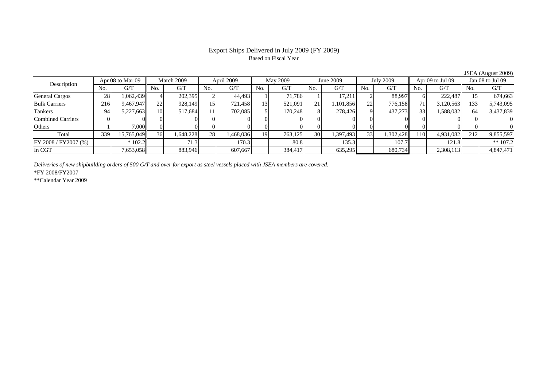### Export Ships Delivered in July 2009 (FY 2009) Based on Fiscal Year

No. I G/T II No. I G/T II No. I G/T II No. I G/T G/T II No. I G/T II No. I G/T II No. I G/T II No. I G/T II No  $\mathrm{G}/\mathrm{T}$ General Cargos ( 28 1,062,439 4 202,395 2 44,493 1 71,786 1 17,211 2 88,997 6 222,487 15 674,663 Bulk Carriers 216 9,467,947 22 928,149 15 721,458 13 521,091 21 1,101,856 22 776,158 71 3,120,563 133 5,743,095 Tankers | 94| 5,227,663|| 10| 517,684| 11| 702,085| 5| 170,248| 8| 278,426| 9| 437,273| 33| 1,588,032|| 64| 3,437,839 Combined Carriers 0 0 0 0 0 0 0 0 0 0 0 0 0 0 0 0Others | 1 | 7,000 || 0 || 0 || 0 || 0 || 0 || 0 || 0 || 0 || 0 || 0 || 0 || 0 Total 339 15,765,049 36 1,648,228 28 1,468,036 19 763,125 30 1,397,493 33 1,302,428 110 4,931,082 212 9,855,597 FY 2008 / FY2007 (%) | \* 102.2 | 71.3 | 170.3 | 80.8 | 135.3 | 107.7 | 121.8 | \*\* 107.2 In CGT | | 7,653,058|| | 883,946| | 607,667| | 384,417| | 635,295| | 680,734| | 2,308,113|| | 4,847,471 Description Apr 08 to Mar 09 | March 2009 | April 2009 | May 2009 | June 2009 | July 2009 | Apr 09 to Jul 09 || Jan 08 to Jul 09

*Deliveries of new shipbuilding orders of 500 G/T and over for export as steel vessels placed with JSEA members are covered.*

\*FY 2008/FY2007

\*\*Calendar Year 2009

JSEA (August 2009)